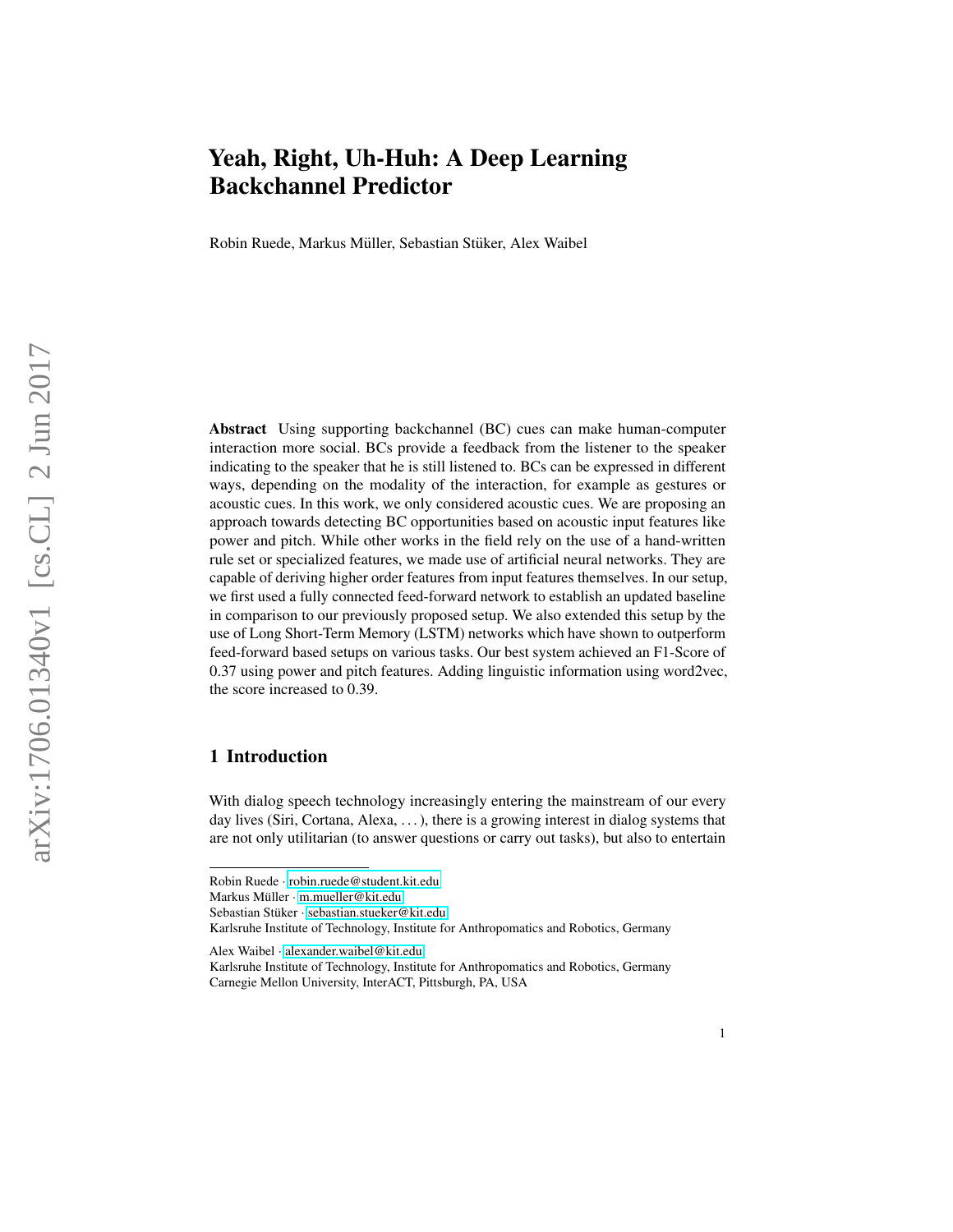# Yeah, Right, Uh-Huh: A Deep Learning Backchannel Predictor

Robin Ruede, Markus Müller, Sebastian Stüker, Alex Waibel

Abstract Using supporting backchannel (BC) cues can make human-computer interaction more social. BCs provide a feedback from the listener to the speaker indicating to the speaker that he is still listened to. BCs can be expressed in different ways, depending on the modality of the interaction, for example as gestures or acoustic cues. In this work, we only considered acoustic cues. We are proposing an approach towards detecting BC opportunities based on acoustic input features like power and pitch. While other works in the field rely on the use of a hand-written rule set or specialized features, we made use of artificial neural networks. They are capable of deriving higher order features from input features themselves. In our setup, we first used a fully connected feed-forward network to establish an updated baseline in comparison to our previously proposed setup. We also extended this setup by the use of Long Short-Term Memory (LSTM) networks which have shown to outperform feed-forward based setups on various tasks. Our best system achieved an F1-Score of 0.37 using power and pitch features. Adding linguistic information using word2vec, the score increased to 0.39.

#### 1 Introduction

With dialog speech technology increasingly entering the mainstream of our every day lives (Siri, Cortana, Alexa, . . . ), there is a growing interest in dialog systems that are not only utilitarian (to answer questions or carry out tasks), but also to entertain

Robin Ruede · [robin.ruede@student.kit.edu](mailto:robin.ruede@student.kit.edu)

Markus Müller · [m.mueller@kit.edu](mailto:m.mueller@kit.edu)

Sebastian Stüker ⋅ [sebastian.stueker@kit.edu](mailto:sebastian.stueker@kit.edu)

Karlsruhe Institute of Technology, Institute for Anthropomatics and Robotics, Germany

Alex Waibel · [alexander.waibel@kit.edu](mailto:alexander.waibel@kit.edu)

Karlsruhe Institute of Technology, Institute for Anthropomatics and Robotics, Germany Carnegie Mellon University, InterACT, Pittsburgh, PA, USA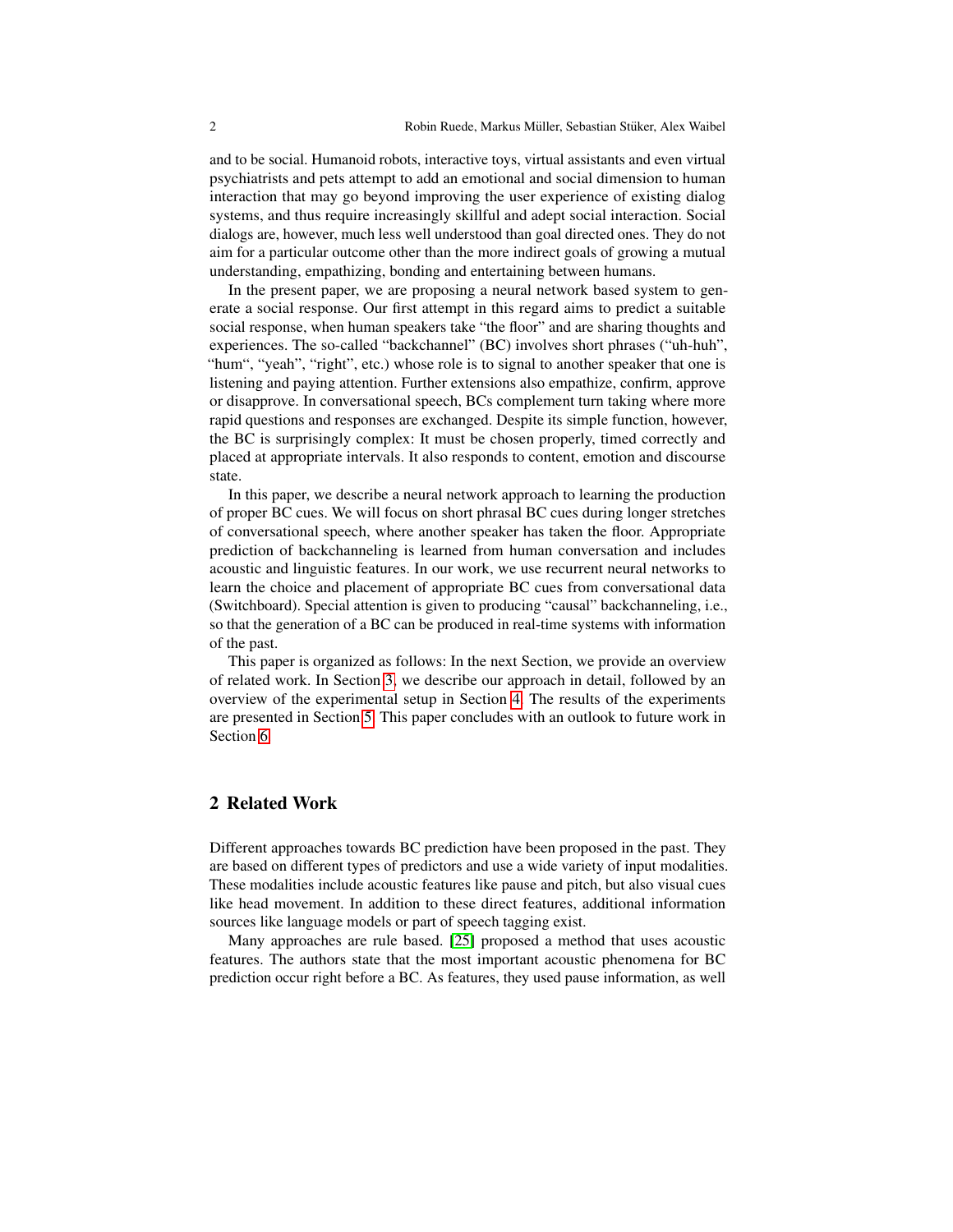and to be social. Humanoid robots, interactive toys, virtual assistants and even virtual psychiatrists and pets attempt to add an emotional and social dimension to human interaction that may go beyond improving the user experience of existing dialog systems, and thus require increasingly skillful and adept social interaction. Social dialogs are, however, much less well understood than goal directed ones. They do not aim for a particular outcome other than the more indirect goals of growing a mutual understanding, empathizing, bonding and entertaining between humans.

In the present paper, we are proposing a neural network based system to generate a social response. Our first attempt in this regard aims to predict a suitable social response, when human speakers take "the floor" and are sharing thoughts and experiences. The so-called "backchannel" (BC) involves short phrases ("uh-huh", "hum", "yeah", "right", etc.) whose role is to signal to another speaker that one is listening and paying attention. Further extensions also empathize, confirm, approve or disapprove. In conversational speech, BCs complement turn taking where more rapid questions and responses are exchanged. Despite its simple function, however, the BC is surprisingly complex: It must be chosen properly, timed correctly and placed at appropriate intervals. It also responds to content, emotion and discourse state.

In this paper, we describe a neural network approach to learning the production of proper BC cues. We will focus on short phrasal BC cues during longer stretches of conversational speech, where another speaker has taken the floor. Appropriate prediction of backchanneling is learned from human conversation and includes acoustic and linguistic features. In our work, we use recurrent neural networks to learn the choice and placement of appropriate BC cues from conversational data (Switchboard). Special attention is given to producing "causal" backchanneling, i.e., so that the generation of a BC can be produced in real-time systems with information of the past.

This paper is organized as follows: In the next Section, we provide an overview of related work. In Section [3,](#page-2-0) we describe our approach in detail, followed by an overview of the experimental setup in Section [4.](#page-3-0) The results of the experiments are presented in Section [5.](#page-7-0) This paper concludes with an outlook to future work in Section [6.](#page-8-0)

#### 2 Related Work

Different approaches towards BC prediction have been proposed in the past. They are based on different types of predictors and use a wide variety of input modalities. These modalities include acoustic features like pause and pitch, but also visual cues like head movement. In addition to these direct features, additional information sources like language models or part of speech tagging exist.

Many approaches are rule based. [\[25\]](#page-11-0) proposed a method that uses acoustic features. The authors state that the most important acoustic phenomena for BC prediction occur right before a BC. As features, they used pause information, as well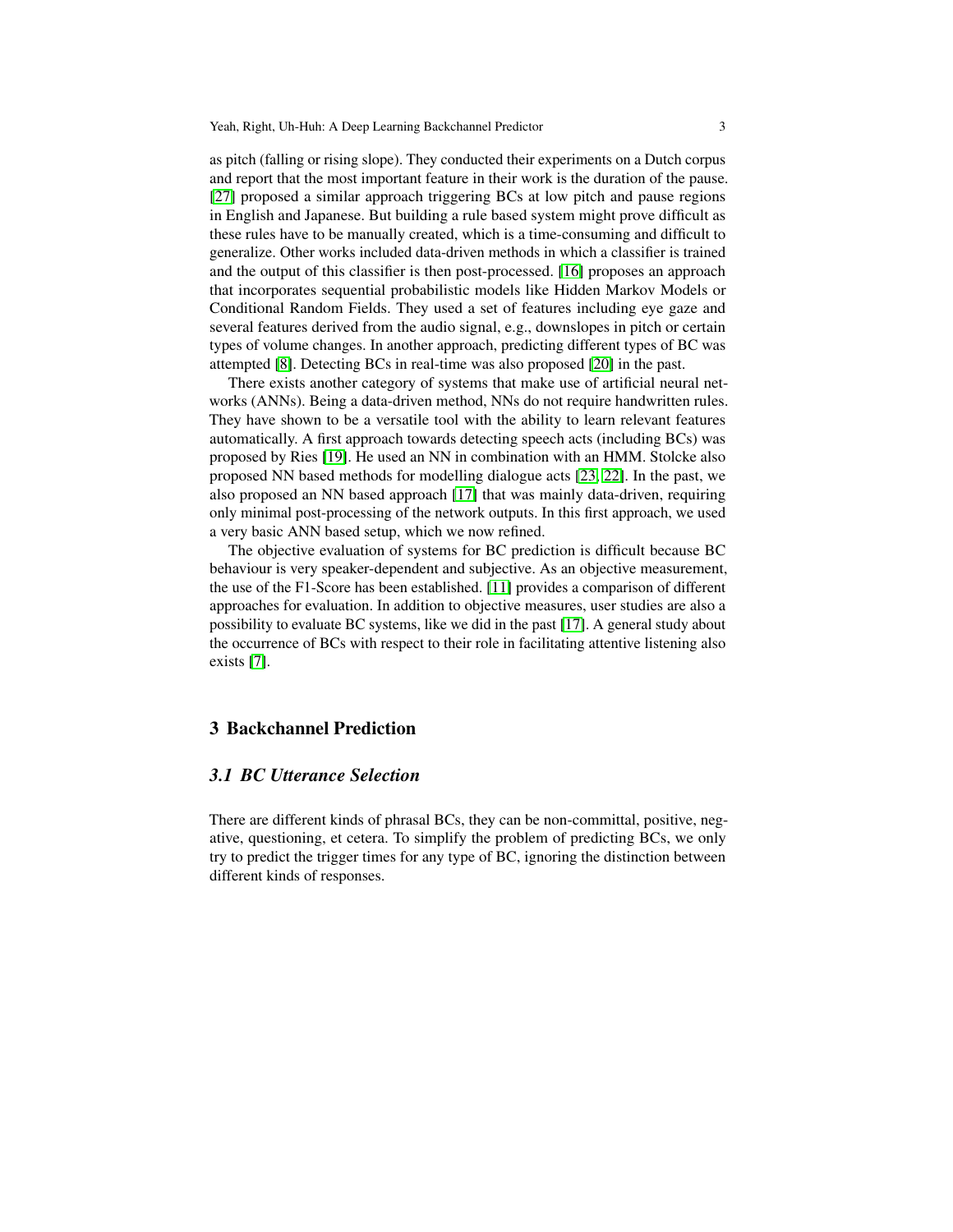as pitch (falling or rising slope). They conducted their experiments on a Dutch corpus and report that the most important feature in their work is the duration of the pause. [\[27\]](#page-11-1) proposed a similar approach triggering BCs at low pitch and pause regions in English and Japanese. But building a rule based system might prove difficult as these rules have to be manually created, which is a time-consuming and difficult to generalize. Other works included data-driven methods in which a classifier is trained and the output of this classifier is then post-processed. [\[16\]](#page-11-2) proposes an approach that incorporates sequential probabilistic models like Hidden Markov Models or Conditional Random Fields. They used a set of features including eye gaze and several features derived from the audio signal, e.g., downslopes in pitch or certain types of volume changes. In another approach, predicting different types of BC was attempted [\[8\]](#page-10-0). Detecting BCs in real-time was also proposed [\[20\]](#page-11-3) in the past.

There exists another category of systems that make use of artificial neural networks (ANNs). Being a data-driven method, NNs do not require handwritten rules. They have shown to be a versatile tool with the ability to learn relevant features automatically. A first approach towards detecting speech acts (including BCs) was proposed by Ries [\[19\]](#page-11-4). He used an NN in combination with an HMM. Stolcke also proposed NN based methods for modelling dialogue acts [\[23,](#page-11-5) [22\]](#page-11-6). In the past, we also proposed an NN based approach [\[17\]](#page-11-7) that was mainly data-driven, requiring only minimal post-processing of the network outputs. In this first approach, we used a very basic ANN based setup, which we now refined.

The objective evaluation of systems for BC prediction is difficult because BC behaviour is very speaker-dependent and subjective. As an objective measurement, the use of the F1-Score has been established. [\[11\]](#page-11-8) provides a comparison of different approaches for evaluation. In addition to objective measures, user studies are also a possibility to evaluate BC systems, like we did in the past [\[17\]](#page-11-7). A general study about the occurrence of BCs with respect to their role in facilitating attentive listening also exists [\[7\]](#page-10-1).

## <span id="page-2-0"></span>3 Backchannel Prediction

#### *3.1 BC Utterance Selection*

There are different kinds of phrasal BCs, they can be non-committal, positive, negative, questioning, et cetera. To simplify the problem of predicting BCs, we only try to predict the trigger times for any type of BC, ignoring the distinction between different kinds of responses.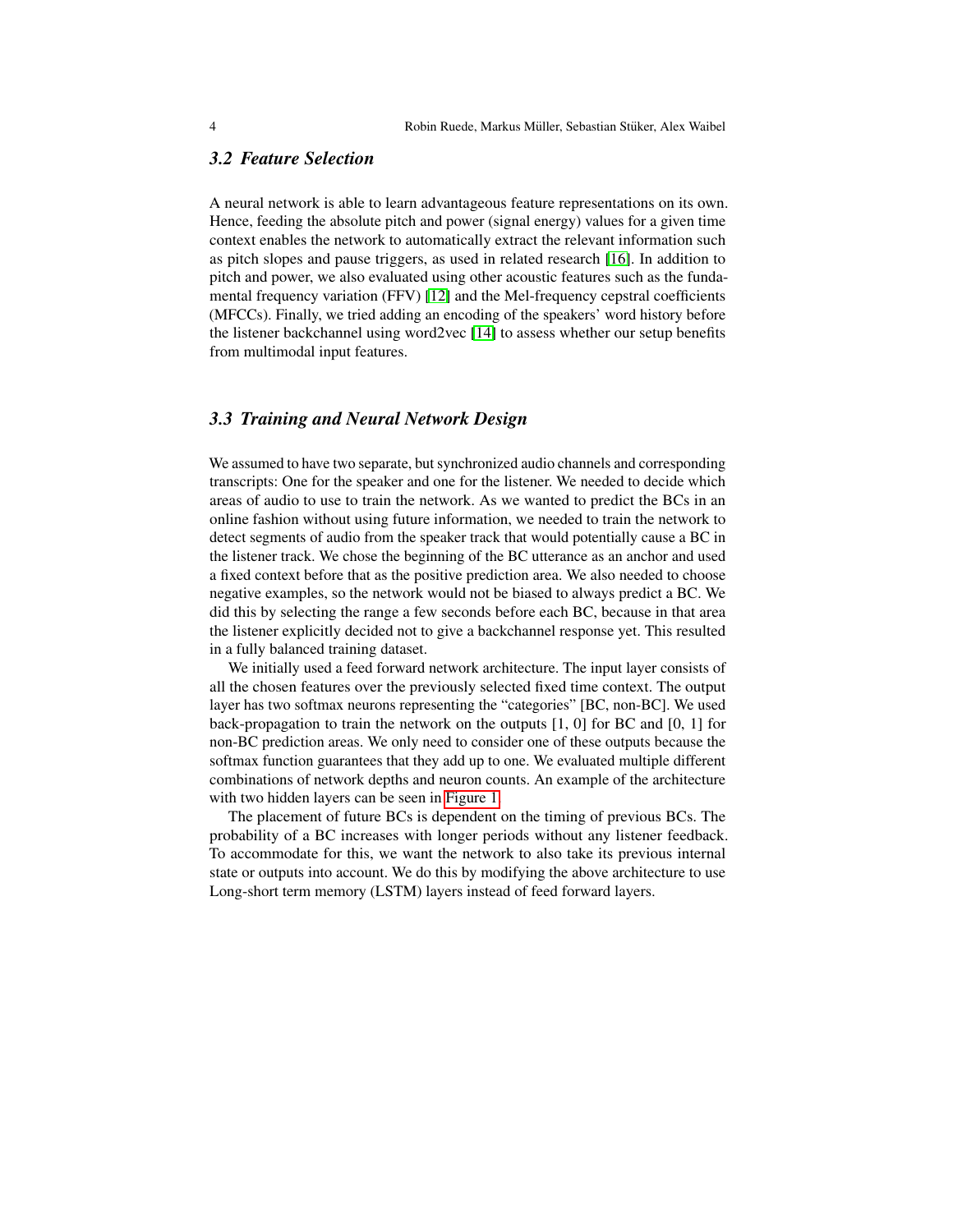## *3.2 Feature Selection*

A neural network is able to learn advantageous feature representations on its own. Hence, feeding the absolute pitch and power (signal energy) values for a given time context enables the network to automatically extract the relevant information such as pitch slopes and pause triggers, as used in related research [\[16\]](#page-11-2). In addition to pitch and power, we also evaluated using other acoustic features such as the fundamental frequency variation (FFV) [\[12\]](#page-11-9) and the Mel-frequency cepstral coefficients (MFCCs). Finally, we tried adding an encoding of the speakers' word history before the listener backchannel using word2vec [\[14\]](#page-11-10) to assess whether our setup benefits from multimodal input features.

#### *3.3 Training and Neural Network Design*

We assumed to have two separate, but synchronized audio channels and corresponding transcripts: One for the speaker and one for the listener. We needed to decide which areas of audio to use to train the network. As we wanted to predict the BCs in an online fashion without using future information, we needed to train the network to detect segments of audio from the speaker track that would potentially cause a BC in the listener track. We chose the beginning of the BC utterance as an anchor and used a fixed context before that as the positive prediction area. We also needed to choose negative examples, so the network would not be biased to always predict a BC. We did this by selecting the range a few seconds before each BC, because in that area the listener explicitly decided not to give a backchannel response yet. This resulted in a fully balanced training dataset.

We initially used a feed forward network architecture. The input layer consists of all the chosen features over the previously selected fixed time context. The output layer has two softmax neurons representing the "categories" [BC, non-BC]. We used back-propagation to train the network on the outputs [1, 0] for BC and [0, 1] for non-BC prediction areas. We only need to consider one of these outputs because the softmax function guarantees that they add up to one. We evaluated multiple different combinations of network depths and neuron counts. An example of the architecture with two hidden layers can be seen in [Figure 1.](#page-4-0)

<span id="page-3-0"></span>The placement of future BCs is dependent on the timing of previous BCs. The probability of a BC increases with longer periods without any listener feedback. To accommodate for this, we want the network to also take its previous internal state or outputs into account. We do this by modifying the above architecture to use Long-short term memory (LSTM) layers instead of feed forward layers.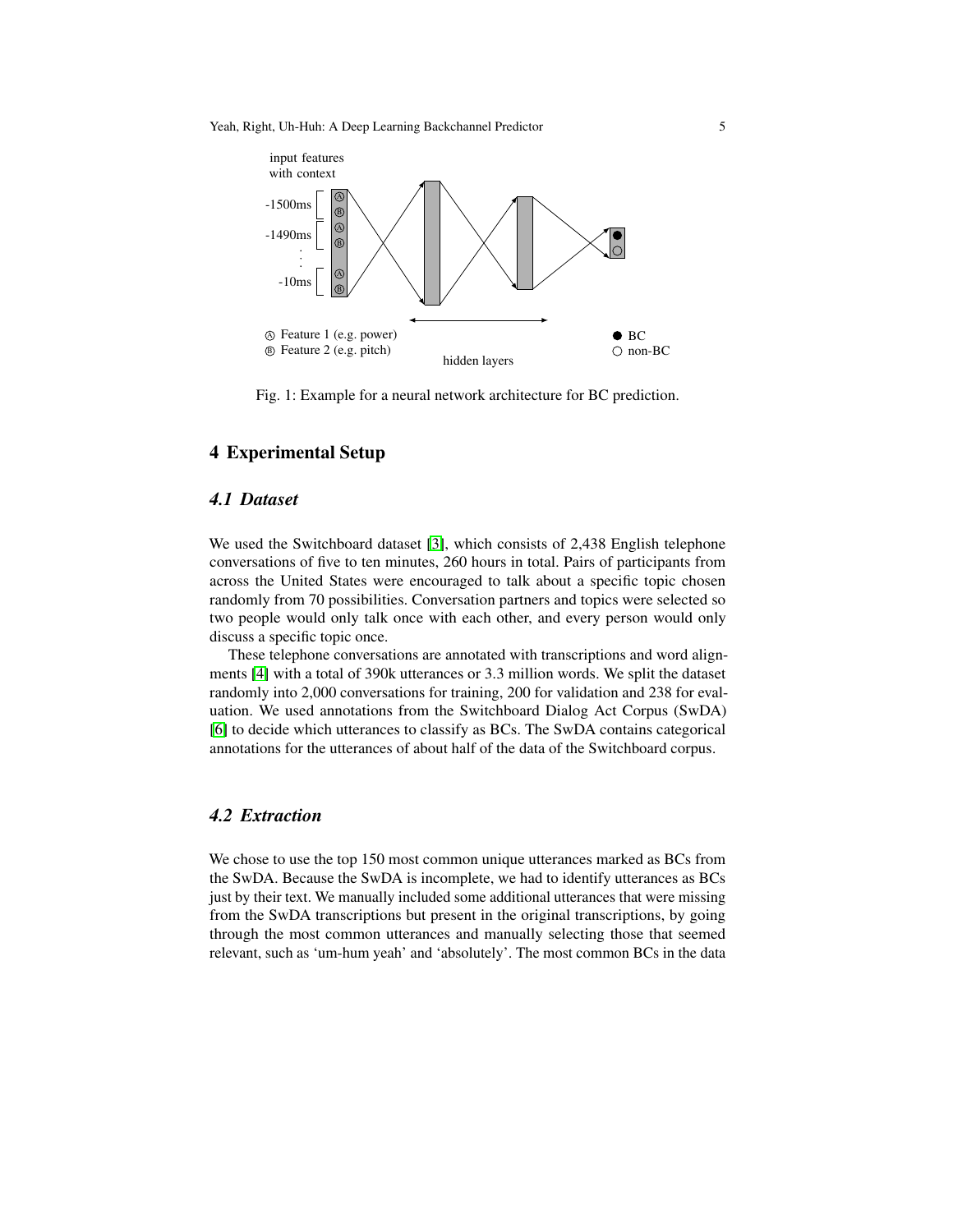<span id="page-4-0"></span>

Fig. 1: Example for a neural network architecture for BC prediction.

# 4 Experimental Setup

## *4.1 Dataset*

We used the Switchboard dataset [\[3\]](#page-10-2), which consists of 2,438 English telephone conversations of five to ten minutes, 260 hours in total. Pairs of participants from across the United States were encouraged to talk about a specific topic chosen randomly from 70 possibilities. Conversation partners and topics were selected so two people would only talk once with each other, and every person would only discuss a specific topic once.

These telephone conversations are annotated with transcriptions and word alignments [\[4\]](#page-10-3) with a total of 390k utterances or 3.3 million words. We split the dataset randomly into 2,000 conversations for training, 200 for validation and 238 for evaluation. We used annotations from the Switchboard Dialog Act Corpus (SwDA) [\[6\]](#page-10-4) to decide which utterances to classify as BCs. The SwDA contains categorical annotations for the utterances of about half of the data of the Switchboard corpus.

# *4.2 Extraction*

We chose to use the top 150 most common unique utterances marked as BCs from the SwDA. Because the SwDA is incomplete, we had to identify utterances as BCs just by their text. We manually included some additional utterances that were missing from the SwDA transcriptions but present in the original transcriptions, by going through the most common utterances and manually selecting those that seemed relevant, such as 'um-hum yeah' and 'absolutely'. The most common BCs in the data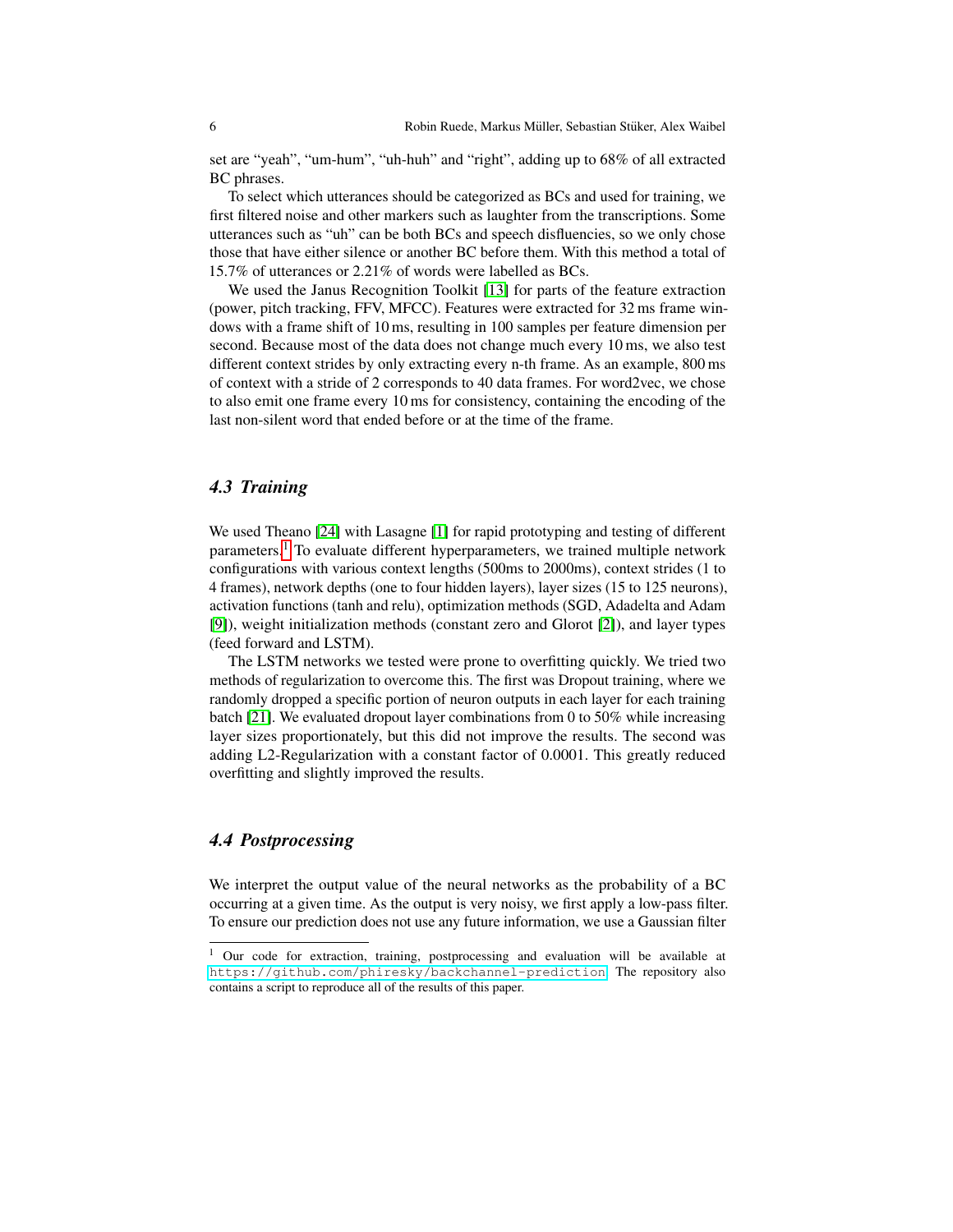set are "yeah", "um-hum", "uh-huh" and "right", adding up to 68% of all extracted BC phrases.

To select which utterances should be categorized as BCs and used for training, we first filtered noise and other markers such as laughter from the transcriptions. Some utterances such as "uh" can be both BCs and speech disfluencies, so we only chose those that have either silence or another BC before them. With this method a total of 15.7% of utterances or 2.21% of words were labelled as BCs.

We used the Janus Recognition Toolkit [\[13\]](#page-11-11) for parts of the feature extraction (power, pitch tracking, FFV, MFCC). Features were extracted for 32 ms frame windows with a frame shift of 10 ms, resulting in 100 samples per feature dimension per second. Because most of the data does not change much every 10 ms, we also test different context strides by only extracting every n-th frame. As an example, 800 ms of context with a stride of 2 corresponds to 40 data frames. For word2vec, we chose to also emit one frame every 10 ms for consistency, containing the encoding of the last non-silent word that ended before or at the time of the frame.

# *4.3 Training*

We used Theano [\[24\]](#page-11-12) with Lasagne [\[1\]](#page-10-5) for rapid prototyping and testing of different parameters.<sup>[1](#page-5-0)</sup> To evaluate different hyperparameters, we trained multiple network configurations with various context lengths (500ms to 2000ms), context strides (1 to 4 frames), network depths (one to four hidden layers), layer sizes (15 to 125 neurons), activation functions (tanh and relu), optimization methods (SGD, Adadelta and Adam [\[9\]](#page-10-6)), weight initialization methods (constant zero and Glorot [\[2\]](#page-10-7)), and layer types (feed forward and LSTM).

The LSTM networks we tested were prone to overfitting quickly. We tried two methods of regularization to overcome this. The first was Dropout training, where we randomly dropped a specific portion of neuron outputs in each layer for each training batch [\[21\]](#page-11-13). We evaluated dropout layer combinations from 0 to 50% while increasing layer sizes proportionately, but this did not improve the results. The second was adding L2-Regularization with a constant factor of 0.0001. This greatly reduced overfitting and slightly improved the results.

# <span id="page-5-1"></span>*4.4 Postprocessing*

We interpret the output value of the neural networks as the probability of a BC occurring at a given time. As the output is very noisy, we first apply a low-pass filter. To ensure our prediction does not use any future information, we use a Gaussian filter

<span id="page-5-0"></span><sup>&</sup>lt;sup>1</sup> Our code for extraction, training, postprocessing and evaluation will be available at <https://github.com/phiresky/backchannel-prediction>. The repository also contains a script to reproduce all of the results of this paper.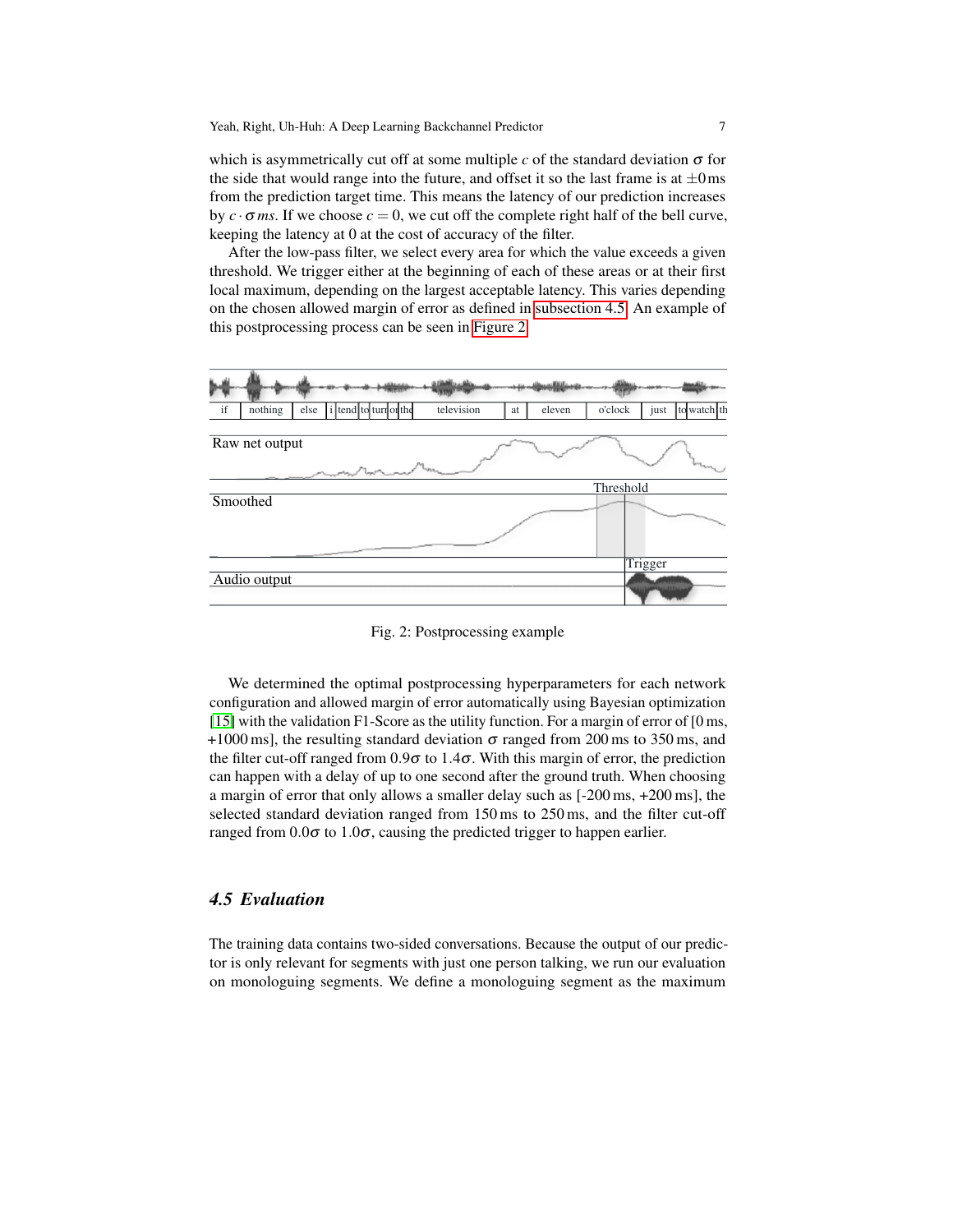which is asymmetrically cut off at some multiple *c* of the standard deviation  $\sigma$  for the side that would range into the future, and offset it so the last frame is at  $\pm 0$ ms from the prediction target time. This means the latency of our prediction increases by  $c \cdot \sigma$  *ms*. If we choose  $c = 0$ , we cut off the complete right half of the bell curve, keeping the latency at 0 at the cost of accuracy of the filter.

After the low-pass filter, we select every area for which the value exceeds a given threshold. We trigger either at the beginning of each of these areas or at their first local maximum, depending on the largest acceptable latency. This varies depending on the chosen allowed margin of error as defined in [subsection 4.5.](#page-6-0) An example of this postprocessing process can be seen in [Figure 2.](#page-6-1)

<span id="page-6-1"></span>

Fig. 2: Postprocessing example

We determined the optimal postprocessing hyperparameters for each network configuration and allowed margin of error automatically using Bayesian optimization [\[15\]](#page-11-14) with the validation F1-Score as the utility function. For a margin of error of [0 ms, +1000 ms], the resulting standard deviation  $\sigma$  ranged from 200 ms to 350 ms, and the filter cut-off ranged from  $0.9\sigma$  to  $1.4\sigma$ . With this margin of error, the prediction can happen with a delay of up to one second after the ground truth. When choosing a margin of error that only allows a smaller delay such as [-200 ms, +200 ms], the selected standard deviation ranged from 150 ms to 250 ms, and the filter cut-off ranged from  $0.0\sigma$  to  $1.0\sigma$ , causing the predicted trigger to happen earlier.

## <span id="page-6-0"></span>*4.5 Evaluation*

The training data contains two-sided conversations. Because the output of our predictor is only relevant for segments with just one person talking, we run our evaluation on monologuing segments. We define a monologuing segment as the maximum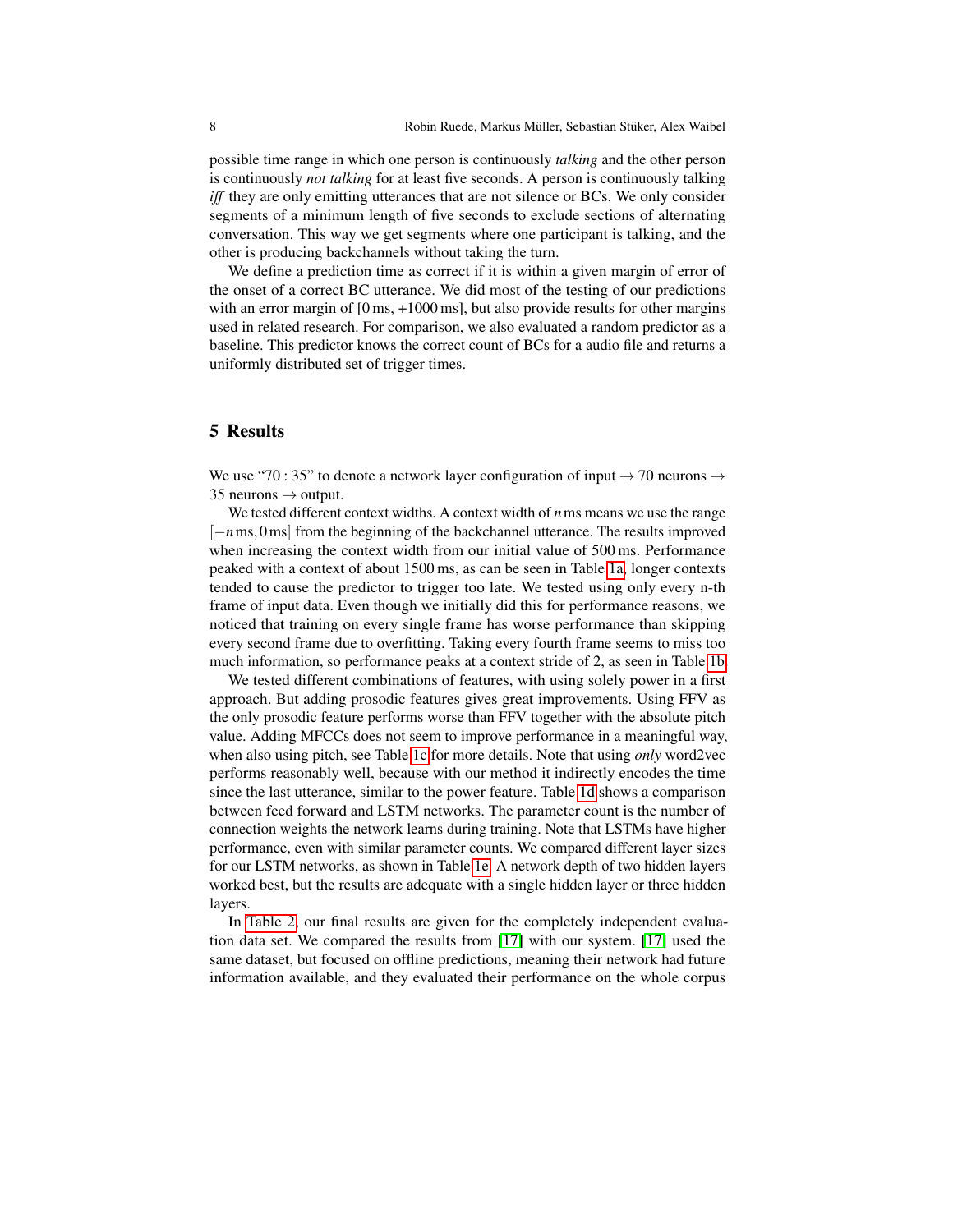possible time range in which one person is continuously *talking* and the other person is continuously *not talking* for at least five seconds. A person is continuously talking *iff* they are only emitting utterances that are not silence or BCs. We only consider segments of a minimum length of five seconds to exclude sections of alternating conversation. This way we get segments where one participant is talking, and the other is producing backchannels without taking the turn.

We define a prediction time as correct if it is within a given margin of error of the onset of a correct BC utterance. We did most of the testing of our predictions with an error margin of [0 ms, +1000 ms], but also provide results for other margins used in related research. For comparison, we also evaluated a random predictor as a baseline. This predictor knows the correct count of BCs for a audio file and returns a uniformly distributed set of trigger times.

#### <span id="page-7-0"></span>5 Results

We use "70 : 35" to denote a network layer configuration of input  $\rightarrow$  70 neurons  $\rightarrow$ 35 neurons  $\rightarrow$  output.

We tested different context widths. A context width of *n* ms means we use the range [−*n*ms,0ms] from the beginning of the backchannel utterance. The results improved when increasing the context width from our initial value of 500 ms. Performance peaked with a context of about 1500 ms, as can be seen in Table [1a,](#page-9-0) longer contexts tended to cause the predictor to trigger too late. We tested using only every n-th frame of input data. Even though we initially did this for performance reasons, we noticed that training on every single frame has worse performance than skipping every second frame due to overfitting. Taking every fourth frame seems to miss too much information, so performance peaks at a context stride of 2, as seen in Table [1b.](#page-9-1)

We tested different combinations of features, with using solely power in a first approach. But adding prosodic features gives great improvements. Using FFV as the only prosodic feature performs worse than FFV together with the absolute pitch value. Adding MFCCs does not seem to improve performance in a meaningful way, when also using pitch, see Table [1c](#page-9-2) for more details. Note that using *only* word2vec performs reasonably well, because with our method it indirectly encodes the time since the last utterance, similar to the power feature. Table [1d](#page-9-3) shows a comparison between feed forward and LSTM networks. The parameter count is the number of connection weights the network learns during training. Note that LSTMs have higher performance, even with similar parameter counts. We compared different layer sizes for our LSTM networks, as shown in Table [1e.](#page-9-4) A network depth of two hidden layers worked best, but the results are adequate with a single hidden layer or three hidden layers.

In [Table 2,](#page-10-8) our final results are given for the completely independent evaluation data set. We compared the results from [\[17\]](#page-11-7) with our system. [\[17\]](#page-11-7) used the same dataset, but focused on offline predictions, meaning their network had future information available, and they evaluated their performance on the whole corpus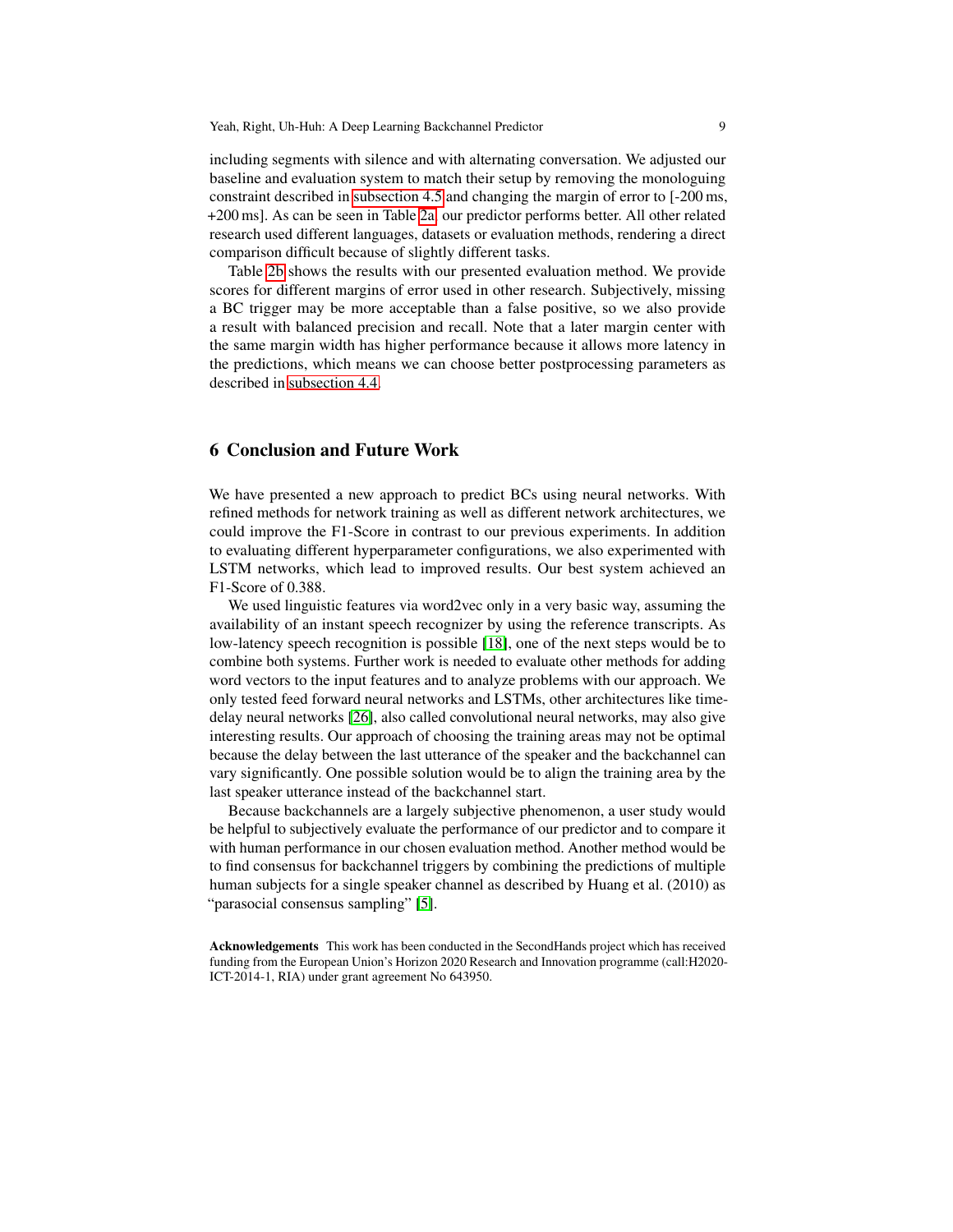including segments with silence and with alternating conversation. We adjusted our baseline and evaluation system to match their setup by removing the monologuing constraint described in [subsection 4.5](#page-6-0) and changing the margin of error to [-200 ms, +200 ms]. As can be seen in Table [2a,](#page-10-9) our predictor performs better. All other related research used different languages, datasets or evaluation methods, rendering a direct comparison difficult because of slightly different tasks.

Table [2b](#page-10-10) shows the results with our presented evaluation method. We provide scores for different margins of error used in other research. Subjectively, missing a BC trigger may be more acceptable than a false positive, so we also provide a result with balanced precision and recall. Note that a later margin center with the same margin width has higher performance because it allows more latency in the predictions, which means we can choose better postprocessing parameters as described in [subsection 4.4.](#page-5-1)

#### <span id="page-8-0"></span>6 Conclusion and Future Work

We have presented a new approach to predict BCs using neural networks. With refined methods for network training as well as different network architectures, we could improve the F1-Score in contrast to our previous experiments. In addition to evaluating different hyperparameter configurations, we also experimented with LSTM networks, which lead to improved results. Our best system achieved an F1-Score of 0.388.

We used linguistic features via word2vec only in a very basic way, assuming the availability of an instant speech recognizer by using the reference transcripts. As low-latency speech recognition is possible [\[18\]](#page-11-15), one of the next steps would be to combine both systems. Further work is needed to evaluate other methods for adding word vectors to the input features and to analyze problems with our approach. We only tested feed forward neural networks and LSTMs, other architectures like timedelay neural networks [\[26\]](#page-11-16), also called convolutional neural networks, may also give interesting results. Our approach of choosing the training areas may not be optimal because the delay between the last utterance of the speaker and the backchannel can vary significantly. One possible solution would be to align the training area by the last speaker utterance instead of the backchannel start.

Because backchannels are a largely subjective phenomenon, a user study would be helpful to subjectively evaluate the performance of our predictor and to compare it with human performance in our chosen evaluation method. Another method would be to find consensus for backchannel triggers by combining the predictions of multiple human subjects for a single speaker channel as described by Huang et al. (2010) as "parasocial consensus sampling" [\[5\]](#page-10-11).

Acknowledgements This work has been conducted in the SecondHands project which has received funding from the European Union's Horizon 2020 Research and Innovation programme (call:H2020- ICT-2014-1, RIA) under grant agreement No 643950.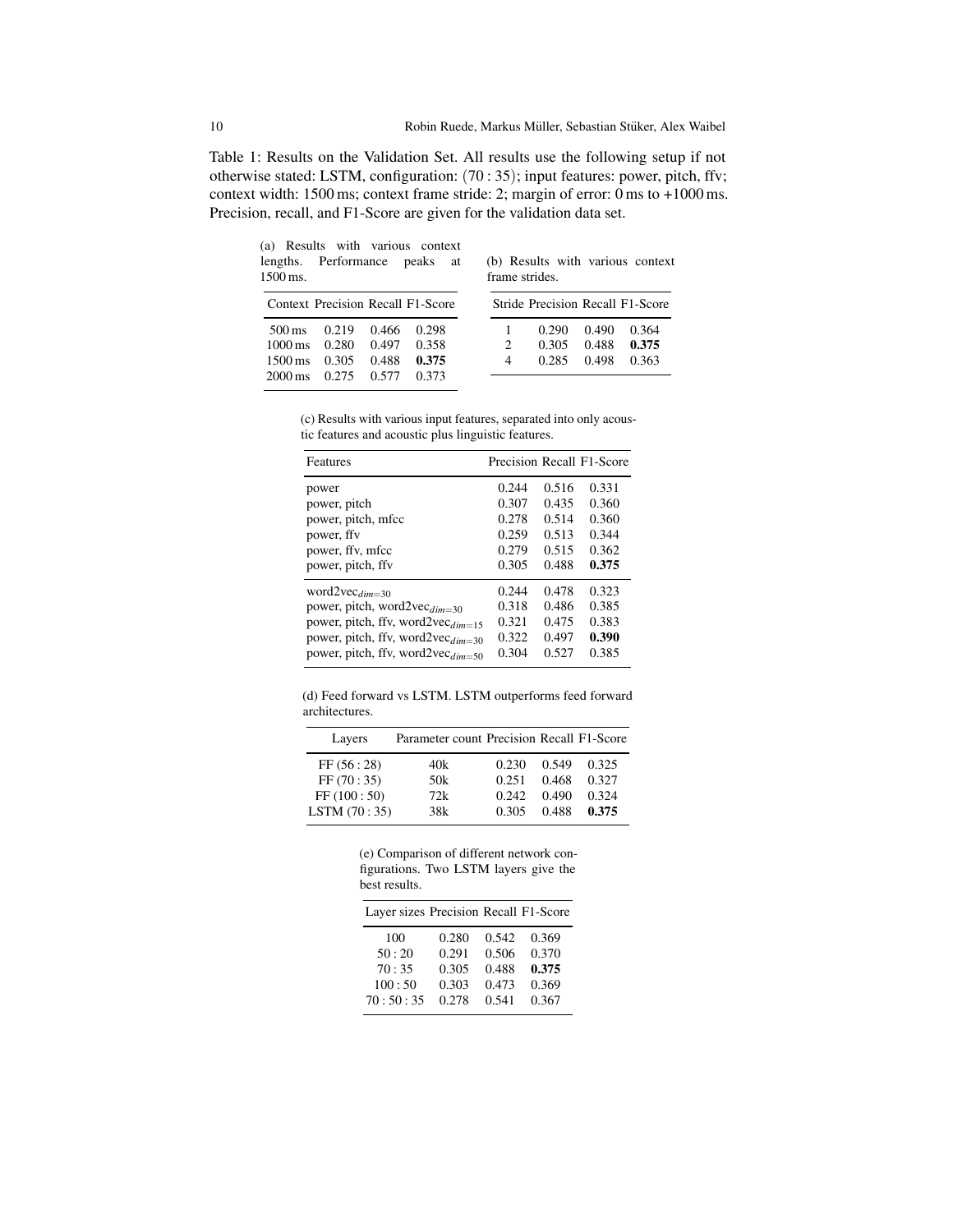Table 1: Results on the Validation Set. All results use the following setup if not otherwise stated: LSTM, configuration: (70 : 35); input features: power, pitch, ffv; context width: 1500 ms; context frame stride: 2; margin of error: 0 ms to +1000 ms. Precision, recall, and F1-Score are given for the validation data set.

<span id="page-9-0"></span>

| (a) Results with various context |  |  |  |
|----------------------------------|--|--|--|
| lengths. Performance peaks at    |  |  |  |
| 1500 ms.                         |  |  |  |

<span id="page-9-1"></span>(b) Results with various context frame strides.

|                                    | Context Precision Recall F1-Score |               | Stride Precision Recall F1-Score |  |
|------------------------------------|-----------------------------------|---------------|----------------------------------|--|
| $500 \text{ ms}$ 0.219 0.466 0.298 |                                   | $\mathbf{1}$  | $0.290$ $0.490$ $0.364$          |  |
| 1000 ms 0.280 0.497 0.358          |                                   | $\mathcal{L}$ | $0.305$ $0.488$ $0.375$          |  |
| 1500 ms 0.305 0.488 0.375          |                                   | 4             | 0.285 0.498 0.363                |  |
| 2000 ms 0.275 0.577 0.373          |                                   |               |                                  |  |

<span id="page-9-2"></span>

| (c) Results with various input features, separated into only acous- |
|---------------------------------------------------------------------|
| tic features and acoustic plus linguistic features.                 |

| Features                                      |       |       | Precision Recall F1-Score |
|-----------------------------------------------|-------|-------|---------------------------|
| power                                         | 0.244 | 0.516 | 0.331                     |
| power, pitch                                  | 0.307 | 0.435 | 0.360                     |
| power, pitch, mfcc                            | 0.278 | 0.514 | 0.360                     |
| power, ffy                                    | 0.259 | 0.513 | 0.344                     |
| power, ffv, mfcc                              | 0.279 | 0.515 | 0.362                     |
| power, pitch, ffy                             | 0.305 | 0.488 | 0.375                     |
| word2vec $_{dim=30}$                          | 0.244 | 0.478 | 0.323                     |
| power, pitch, word2vec $_{dim=30}$            | 0.318 | 0.486 | 0.385                     |
| power, pitch, ffv, word2vec $_{dim=15}$       | 0.321 | 0.475 | 0.383                     |
| power, pitch, ffv, word2vec <sub>dim=30</sub> | 0.322 | 0.497 | 0.390                     |
| power, pitch, ffv, word2vec $_{dim=50}$       | 0.304 | 0.527 | 0.385                     |

<span id="page-9-3"></span>(d) Feed forward vs LSTM. LSTM outperforms feed forward architectures.

| Layers       | Parameter count Precision Recall F1-Score |       |       |       |
|--------------|-------------------------------------------|-------|-------|-------|
| FF(56:28)    | 40k                                       | 0.230 | 0.549 | 0.325 |
| FF(70:35)    | 50k                                       | 0.251 | 0.468 | 0.327 |
| FF(100:50)   | 72k                                       | 0.242 | 0.490 | 0.324 |
| LSTM (70:35) | 38k                                       | 0.305 | 0.488 | 0.375 |
|              |                                           |       |       |       |

<span id="page-9-4"></span>(e) Comparison of different network configurations. Two LSTM layers give the best results.

| Layer sizes Precision Recall F1-Score |       |       |       |
|---------------------------------------|-------|-------|-------|
| 100                                   | 0.280 | 0.542 | 0.369 |
| 50:20                                 | 0.291 | 0.506 | 0.370 |
| 70:35                                 | 0.305 | 0.488 | 0.375 |
| 100:50                                | 0.303 | 0.473 | 0.369 |
| 70:50:35                              | 0.278 | 0.541 | 0.367 |
|                                       |       |       |       |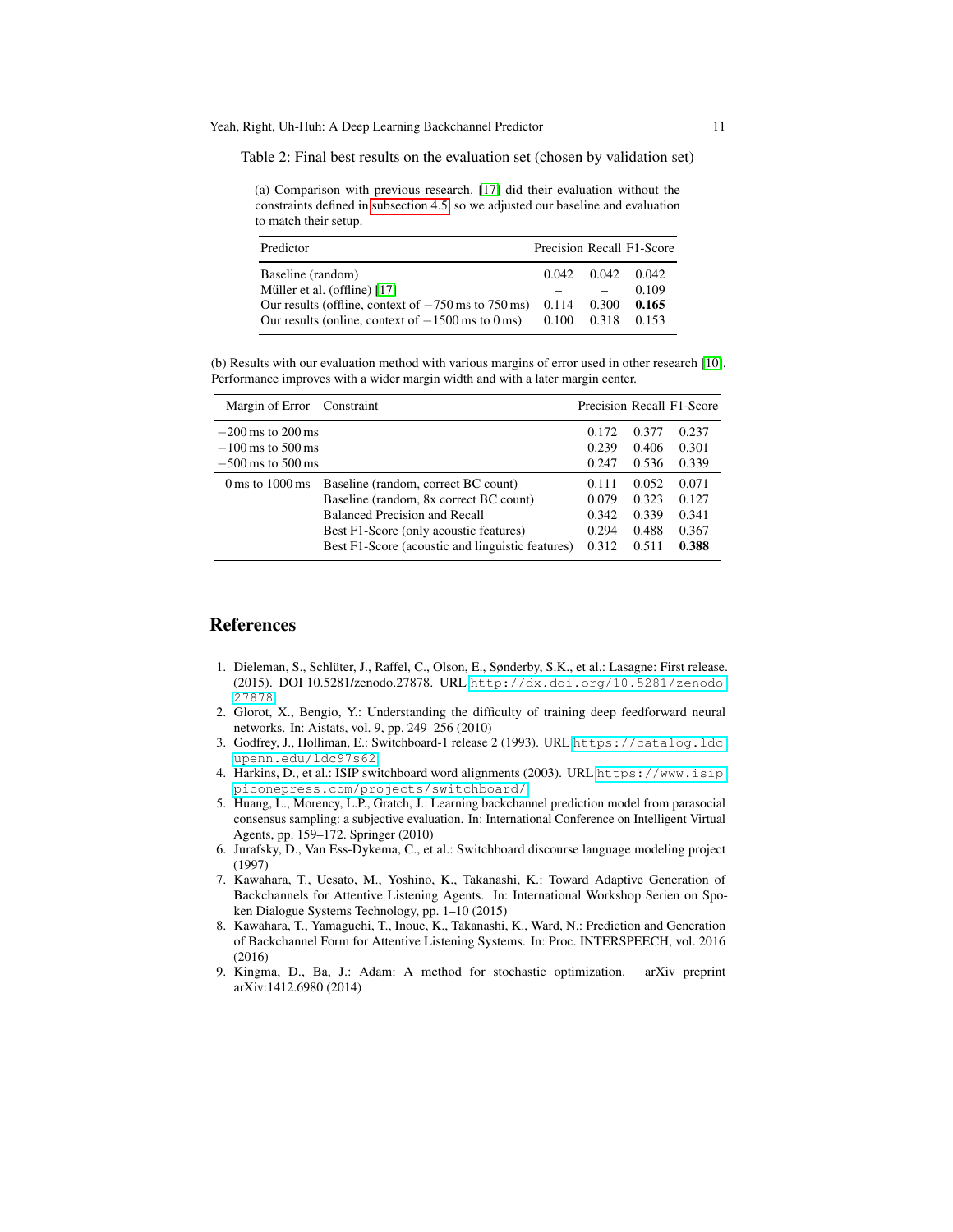<span id="page-10-8"></span>Yeah, Right, Uh-Huh: A Deep Learning Backchannel Predictor 11

Table 2: Final best results on the evaluation set (chosen by validation set)

(a) Comparison with previous research. [\[17\]](#page-11-7) did their evaluation without the constraints defined in [subsection 4.5,](#page-6-0) so we adjusted our baseline and evaluation to match their setup.

<span id="page-10-9"></span>

| Predictor                                               |                     |       | Precision Recall F1-Score |
|---------------------------------------------------------|---------------------|-------|---------------------------|
| Baseline (random)                                       | $0.042 \quad 0.042$ |       | 0.042                     |
| Müller et al. (offline) [17]                            |                     |       | 0.109                     |
| Our results (offline, context of $-750$ ms to $750$ ms) | 0.114               | 0.300 | 0.165                     |
| Our results (online, context of $-1500$ ms to 0 ms)     | 0.100               | 0.318 | 0.153                     |

(b) Results with our evaluation method with various margins of error used in other research [\[10\]](#page-11-17). Performance improves with a wider margin width and with a later margin center.

<span id="page-10-10"></span>

| Margin of Error Constraint                |                                                  |       |       | Precision Recall F1-Score |
|-------------------------------------------|--------------------------------------------------|-------|-------|---------------------------|
| $-200$ ms to 200 ms                       |                                                  | 0.172 | 0.377 | 0.237                     |
| $-100$ ms to 500 ms                       |                                                  | 0.239 | 0.406 | 0.301                     |
| $-500$ ms to 500 ms                       |                                                  | 0.247 | 0.536 | 0.339                     |
| $0 \,\mathrm{ms}$ to $1000 \,\mathrm{ms}$ | Baseline (random, correct BC count)              | 0.111 | 0.052 | 0.071                     |
|                                           | Baseline (random, 8x correct BC count)           | 0.079 | 0.323 | 0.127                     |
|                                           | Balanced Precision and Recall                    | 0.342 | 0.339 | 0.341                     |
|                                           | Best F1-Score (only acoustic features)           | 0.294 | 0.488 | 0.367                     |
|                                           | Best F1-Score (acoustic and linguistic features) | 0.312 | 0.511 | 0.388                     |

# References

- <span id="page-10-5"></span>1. Dieleman, S., Schlüter, J., Raffel, C., Olson, E., Sønderby, S.K., et al.: Lasagne: First release. (2015). DOI 10.5281/zenodo.27878. URL [http://dx.doi.org/10.5281/zenodo.](http://dx.doi.org/10.5281/zenodo.27878) [27878](http://dx.doi.org/10.5281/zenodo.27878)
- <span id="page-10-7"></span>2. Glorot, X., Bengio, Y.: Understanding the difficulty of training deep feedforward neural networks. In: Aistats, vol. 9, pp. 249–256 (2010)
- <span id="page-10-2"></span>3. Godfrey, J., Holliman, E.: Switchboard-1 release 2 (1993). URL [https://catalog.ldc.](https://catalog.ldc.upenn.edu/ldc97s62) [upenn.edu/ldc97s62](https://catalog.ldc.upenn.edu/ldc97s62)
- <span id="page-10-3"></span>4. Harkins, D., et al.: ISIP switchboard word alignments (2003). URL [https://www.isip.](https://www.isip.piconepress.com/projects/switchboard/) [piconepress.com/projects/switchboard/](https://www.isip.piconepress.com/projects/switchboard/)
- <span id="page-10-11"></span>5. Huang, L., Morency, L.P., Gratch, J.: Learning backchannel prediction model from parasocial consensus sampling: a subjective evaluation. In: International Conference on Intelligent Virtual Agents, pp. 159–172. Springer (2010)
- <span id="page-10-4"></span>6. Jurafsky, D., Van Ess-Dykema, C., et al.: Switchboard discourse language modeling project (1997)
- <span id="page-10-1"></span>7. Kawahara, T., Uesato, M., Yoshino, K., Takanashi, K.: Toward Adaptive Generation of Backchannels for Attentive Listening Agents. In: International Workshop Serien on Spoken Dialogue Systems Technology, pp. 1–10 (2015)
- <span id="page-10-0"></span>8. Kawahara, T., Yamaguchi, T., Inoue, K., Takanashi, K., Ward, N.: Prediction and Generation of Backchannel Form for Attentive Listening Systems. In: Proc. INTERSPEECH, vol. 2016 (2016)
- <span id="page-10-6"></span>9. Kingma, D., Ba, J.: Adam: A method for stochastic optimization. arXiv preprint arXiv:1412.6980 (2014)